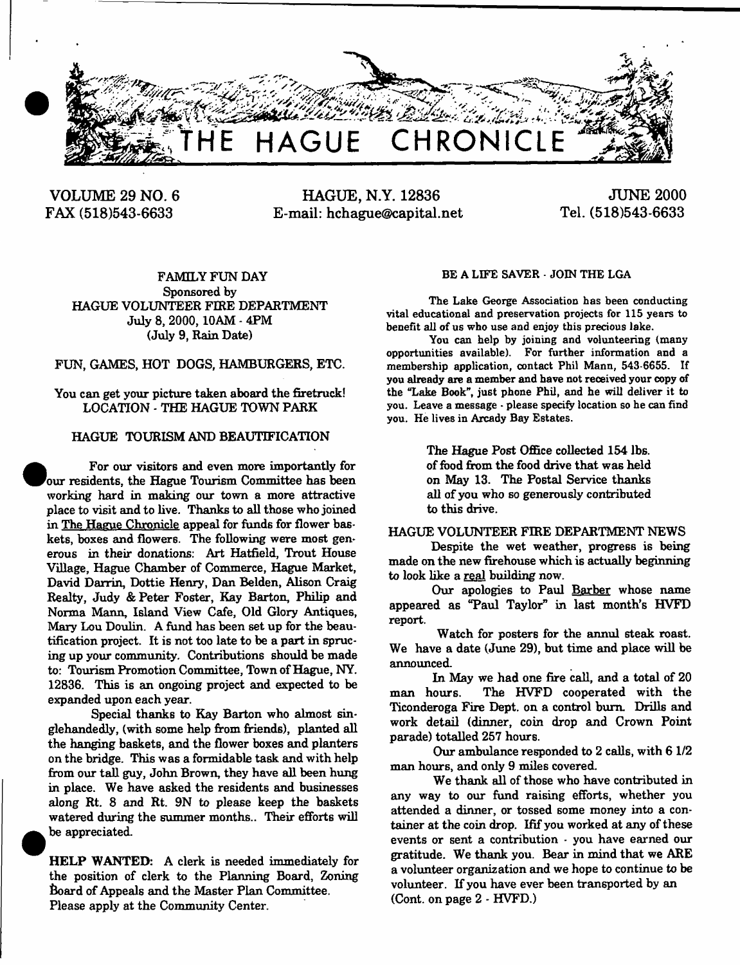

**VOLUME 29 NO. 6 FAX (518)543-6633**

**•** 

**HAGUE, N.Y. 12836 E-mail: [hchague@capital.net](mailto:hchague@capital.net)**

**JUNE 2000 Tel. (518)543-6633**

FAMILY FUN DAY Sponsored by HAGUE VOLUNTEER FIRE DEPARTMENT July 8, 2000,10AM - 4PM (July 9, Rain Date)

FUN, GAMES, HOT DOGS, HAMBURGERS, ETC.

You can get your picture taken aboard the firetruck! LOCATION - THE HAGUE TOWN PARK

## HAGUE TOURISM AND BEAUTIFICATION

 For our visitors and even more importantly for our residents, the Hague Tourism Committee has been working hard in making our town a more attractive place to visit and to live. Thanks to all those who joined in The Hague Chronicle appeal for funds for flower baskets, boxes and flowers. The following were most generous in their donations: Art Hatfield, Trout House Village, Hague Chamber of Commerce, Hague Market, David Darrin, Dottie Henry, Dan Belden, Alison Craig Realty, Judy & Peter Foster, Kay Barton, Philip and Norma Mann, Island View Cafe, Old Glory Antiques, Mary Lou Doulin. A fund has been set up for the beautification project. It is not too late to be a part in sprue ing up your community. Contributions should be made to: Tourism Promotion Committee, Town of Hague, NY. 12836. This is an ongoing project and expected to be expanded upon each year.

Special thanks to Kay Barton who almost singlehandedly, (with some help from friends), planted all the hanging baskets, and the flower boxes and planters on the bridge. This was a formidable task and with help from our tall guy, John Brown, they have all been hung in place. We have asked the residents and businesses along Rt. 8 and Rt. 9N to please keep the baskets watered during the summer months.. Their efforts will be appreciated.

HELP WANTED: A clerk is needed immediately for the position of clerk to the Planning Board, Zoning Board of Appeals and the Master Plan Committee. Please apply at the Community Center.

#### BE A LIFE SAVER - JOIN THE LGA

The Lake George Association has been conducting vital educational and preservation projects for 115 years to benefit all of us who use and enjoy this precious lake.

You can help by joining and volunteering (many opportunities available). For further information and a membership application, contact Phil Mann, 543-6655. If you already are a member and have not received your copy of the "Lake Book", just phone Phil, and he will deliver it to you. Leave a message - please specify location so he can find you. He lives in Arcady Bay Estates.

> The Hague Post Office collected 154 lbs. of food from the food drive that was held on May 13. The Postal Service thanks all of you who so generously contributed to this drive.

#### HAGUE VOLUNTEER FIRE DEPARTMENT NEWS

Despite the wet weather, progress is being made on the new firehouse which is actually beginning to look like a real building now.

Our apologies to Paul Barber whose name appeared as "Paul Taylor" in last month's HVFD report.

Watch for posters for the annul steak roast. We have a date (June 29), but time and place will be announced.

In May we had one fire call, and a total of 20 man hours. The HVFD cooperated with the Ticonderoga Fire Dept, on a control bum. Drills and work detail (dinner, coin drop and Crown Point parade) totalled 257 hours.

Our ambulance responded to 2 calls, with 6 1/2 man hours, and only 9 miles covered.

We thank all of those who have contributed in any way to our fund raising efforts, whether you attended a dinner, or tossed some money into a container at the coin drop. Ifif you worked at any of these events or sent a contribution - you have earned our gratitude. We thank you. Bear in mind that we ARE a volunteer organization and we hope to continue to be volunteer. If you have ever been transported by an (Cont. on page 2 - HVFD.)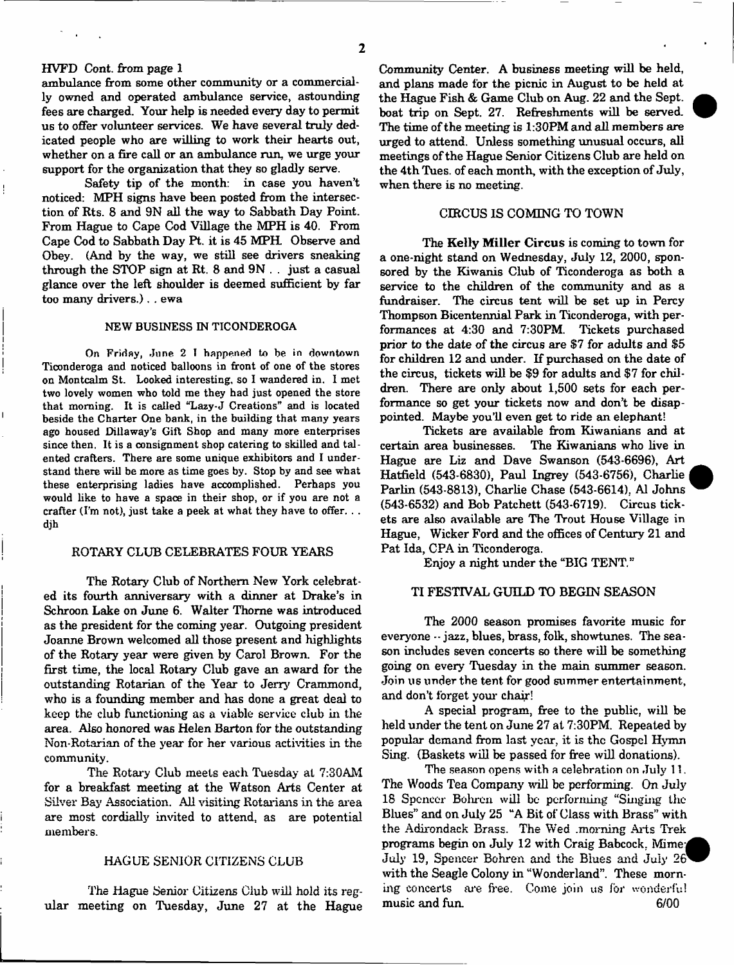# HVFD Cont. from page 1

ambulance from some other community or a commercially owned and operated ambulance service, astounding fees are charged. Your help is needed every day to permit us to offer volunteer services. We have several truly dedicated people who are willing to work their hearts out, whether on a fire call or an ambulance run, we urge your support for the organization that they so gladly serve.

Safety tip of the month: in case you haven't noticed: MPH signs have been posted from the intersection of Rts. 8 and 9N all the way to Sabbath Day Point. From Hague to Cape Cod Village the MPH is 40. From Cape Cod to Sabbath Day Pt. it is 45 MPH Observe and Obey. (And by the way, we still see drivers sneaking through the STOP sign at Rt. 8 and 9N . . just a casual glance over the left shoulder is deemed sufficient by far too many drivers.), . ewa

## NEW BUSINESS IN TICONDEROGA

On Friday, June 2 I happened to be in downtown Ticonderoga and noticed balloons in front of one of the stores on Montcalm St. Looked interesting, so I wandered in. I met two lovely women who told me they had just opened the store that morning. It is called "Lazy-J Creations" and is located beside the Charter One bank, in the building that many years ago housed Dillaway's Gift Shop and many more enterprises since then. It is a consignment shop catering to skilled and talented crafters. There are some unique exhibitors and I understand there will be more as time goes by. Stop by and see what these enterprising ladies have accomplished. Perhaps you would like to have a space in their shop, or if you are not a crafter (I'm not), just take a peek at what they have to offer. . . djh

## ROTARY CLUB CELEBRATES FOUR YEARS

The Rotary Club of Northern New York celebrated its fourth anniversary with a dinner at Drake's in Schroon Lake on June 6. Walter Thome was introduced as the president for the coming year. Outgoing president Joanne Brown welcomed all those present and highlights of the Rotary year were given by Carol Brown. For the first time, the local Rotary Club gave an award for the outstanding Rotarian of the Year to Jerry Crammond, who is a founding member and has done a great deal to keep the club functioning as a viable service club in the area. Also honored was Helen Barton for the outstanding Non-Rotarian of the year for her various activities in the community.

The Rotary Club meets each Tuesday at 7:30AM for a breakfast meeting at the Watson Arts Center at Silver Bay Association. All visiting Rotarians in the area are most cordially invited to attend, as are potential members.

#### HAGUE SENIOR CITIZENS CLUB

The Hague Senior Citizens Club will hold its regular meeting on Tuesday, June 27 at the Hague Community Center. A business meeting will be held, and plans made for the picnic in August to be held at the Hague Fish & Game Club on Aug. 22 and the Sept. boat trip on Sept. 27. Refreshments will be served. The time of the meeting is 1:30PM and all members are urged to attend. Unless something unusual occurs, all meetings of the Hague Senior Citizens Club are held on the 4th Tues. of each month, with the exception of July, when there is no meeting.

## CIRCUS IS COMING TO TOWN

The Kelly Miller Circus is coming to town for a one-night stand on Wednesday, July 12, 2000, sponsored by the Kiwanis Club of Ticonderoga as both a service to the children of the community and as a fundraiser. The circus tent will be set up in Percy Thompson Bicentennial Park in Ticonderoga, with performances at 4:30 and 7:30PM. Tickets purchased prior to the date of the circus are \$7 for adults and \$5 for children 12 and under. If purchased on the date of the circus, tickets will be \$9 for adults and \$7 for children. There are only about 1,500 sets for each performance so get your tickets now and don't be disappointed. Maybe you'll even get to ride an elephant!

Tickets are available from Kiwanians and at certain area businesses. The Kiwanians who live in Hague are Liz and Dave Swanson (543-6696), Art Hatfield (543-6830), Paul Ingrey (543-6756), Charlie Parlin (543-8813), Charlie Chase (543-6614). A1 Johns (543-6532) and Bob Patchett (543-6719). Circus tickets are also available are The Trout House Village in Hague, Wicker Ford and the offices of Century 21 and Pat Ida, CPA in Ticonderoga.

Enjoy a night under the "BIG TENT."

# TI FESTIVAL GUILD TO BEGIN SEASON

The 2000 season promises favorite music for everyone -- jazz, blues, brass, folk, showtunes. The season includes seven concerts so there will be something going on every Tuesday in the main summer season. Join us under the tent for good summer entertainment, and don't forget your chair!

A special program, free to the public, will be held under the tent on June 27 at 7:30PM. Repeated by popular demand from last year, it is the Gospel Hymn Sing. (Baskets will be passed for free will donations).

The season opens with a celebration on July 11. The Woods Tea Company will be performing. On July 18 Spencer Bohren will be performing "Singing the Blues" and on July 25 "A Bit of Class with Brass" with the Adirondack Brass. The Wed .morning Arts Trek programs begin on July 12 with Craig Babcock. Mime; July 19, Spencer Bohren and the Blues and July 26 with the Seagle Colony in "Wonderland". These morning concerts are free. Come join us for wonderful music and fun. 6/00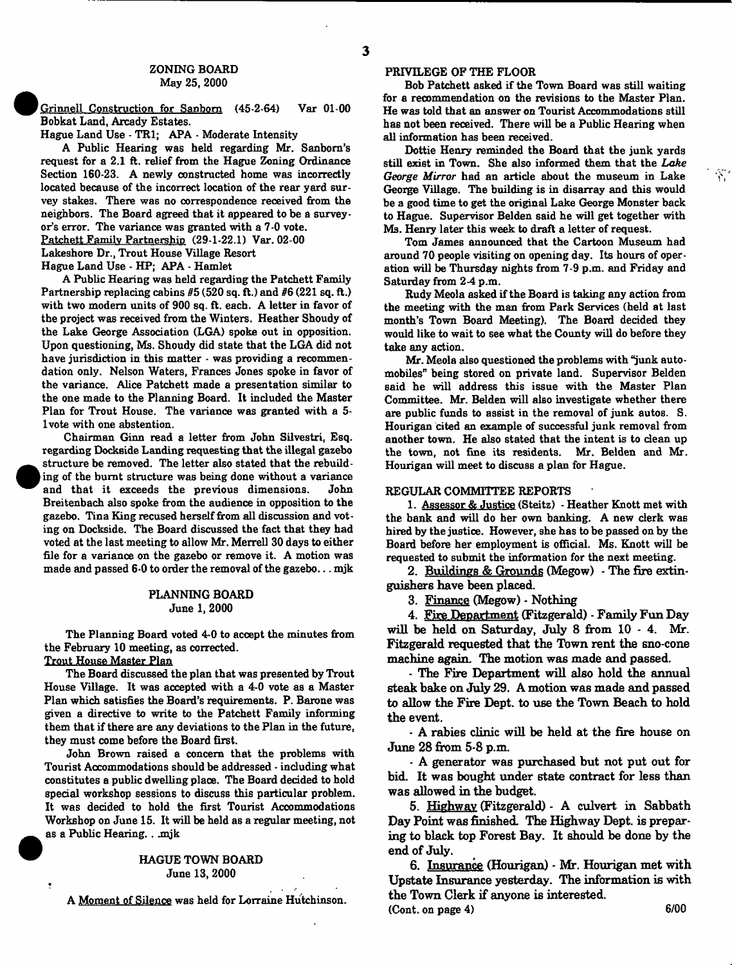Grinnell Construction for Sanborn (45-2-64) Var 01-00 Bobkat Land, Arcady Estates.

Hague Land Use - TR1; APA - Moderate Intensity

A Public Hearing was held regarding Mr. Sanborn's request for a 2.1 ft. relief from the Hague Zoning Ordinance Section 160-23. A newly constructed home was incorrectly located because of the incorrect location of the rear yard survey stakes. There was no correspondence received from the neighbors. The Board agreed that it appeared to be a surveyor's error. The variance was granted with a 7-0 vote. Patchett Family Partnership (29-1-22.1) Var. 02-00 Lakeshore Dr., Trout House Village Resort

Hague Land Use - HP; APA - Hamlet

A Public Hearing was held regarding the Patchett Family Partnership replacing cabins  $#5(520 \text{ sq. ft.})$  and  $#6(221 \text{ sq. ft.})$ with two modern units of 900 sq. ft. each. A letter in favor of the project was received from the Winters. Heather Shoudy of the Lake George Association (LGA) spoke out in opposition. Upon questioning, Ms. Shoudy did state that the LGA did not have jurisdiction in this matter - was providing a recommendation only. Nelson Waters, Frances Jones spoke in favor of the variance. Alice Patchett made a presentation similar to the one made to the Planning Board. It included the Master Plan for Trout House. The variance was granted with a 5 lvote with one abstention.

Chairman Ginn read a letter from John Silvestri, Esq. regarding Dockside Landing requesting that the illegal gazebo structure be removed. The letter also stated that the rebuild ing of the burnt structure was being done without a variance and that it exceeds the previous dimensions. John Breitenbach also spoke from the audience in opposition to the gazebo. Tina King recused herself from all discussion and voting on Dockside. The Board discussed the fact that they had voted at the last meeting to allow Mr. Merrell 30 days to either file for a variance on the gazebo or remove it. A motion was made and passed 6-0 to order the removal of the gazebo... mjk

## PLANNING BOARD June 1, 2000

The Planning Board voted 4-0 to accept the minutes from the February 10 meeting, as corrected.

## Trout House Master Plan

\*

The Board discussed the plan that was presented by Trout House Village. It was accepted with a 4-0 vote as a Master Plan which satisfies the Board's requirements. P. Barone was given a directive to write to the Patchett Family informing them that if there are any deviations to the Plan in the future, they must come before the Board first.

John Brown raised a concern that the problems with Tourist Accommodations should be addressed - including what constitutes a public dwelling place. The Board decided to hold special workshop sessions to discuss this particular problem. It was decided to hold the first Tourist Accommodations Workshop on June 15. It will be held as a regular meeting, not as a Public Hearing. . .mjk

#### HAGUE TOWN BOARD June 13, 2000

A Moment of Silence was held for Lorraine Hutchinson.

#### PRIVILEGE OF THE FLOOR

Bob Patchett asked if the Town Board was still waiting for a recommendation on the revisions to the Master Plan. He was told that an answer on Tourist Accommodations still has not been received. There will be a Public Hearing when all information has been received.

Dottie Henry reminded the Board that the junk yards still exist in Town. She also informed them that the *Lake George Mirror* had an article about the museum in Lake George Village. The building is in disarray and this would be a good time to get the original Lake George Monster back to Hague. Supervisor Belden said he will get together with Ms. Henry later this week to draft a letter of request.

Tom James announced that the Cartoon Museum had around 70 people visiting on opening day. Its hours of operation will be Thursday nights from 7-9 p.m. and Friday and Saturday from 2-4 p.m.

Rudy Meola asked if the Board is taking any action from the meeting with the man from Park Services (held at last month's Town Board Meeting). The Board decided they would like to wait to see what the County will do before they take any action.

Mr. Meola also questioned the problems with \*junk automobiles" being stored on private land. Supervisor Belden said he will address this issue with the Master Plan Committee. Mr. Belden will also investigate whether there are public funds to assist in the removal of junk autos. S. Hourigan cited an example of successful junk removal from another town. He also stated that the intent is to dean up the town, not fine its residents. Mr. Belden and Mr. Hourigan will meet to discuss a plan for Hague.

#### REGULAR COMMITTEE REPORTS

1. Assessor & Justice (Steitz) - Heather Knott met with the bank and will do her own banking. A new derk was hired by the justice. However, she has to be passed on by the Board before her employment is official. Ms. Knott will be requested to submit the information for the next meeting.

2. Buildings & Grounds (Megow) - The fire extinguishers have been placed.

3. Finance (Megow) - Nothing

4. Fire Department (Fitzgerald) - Family Fun Day will be held on Saturday, July 8 from 10 - 4. Mr. Fitzgerald requested that the Town rent the sno-cone machine again. The motion was made and passed.

- The Fire Department will also hold the annual steak bake on July 29. A motion was made and passed to allow the Fire Dept, to use the Town Beach to hold the event.

- A rabies clinic will be held at the fire house on June 28 from 5-8 p.m.

- A generator was purchased but not put out for bid. It was bought under state contract for less than was allowed in the budget.

5. Highway (Fitzgerald) - A culvert in Sabbath Day Point was finished. The Highway Dept, is preparing to black top Forest Bay. It should be done by the end of July.

6. Insurance (Hourigan) - Mr. Hourigan met with Upstate Insurance yesterday. The information is with the Town Clerk if anyone is interested.  $(Cont. on page 4)$  6/00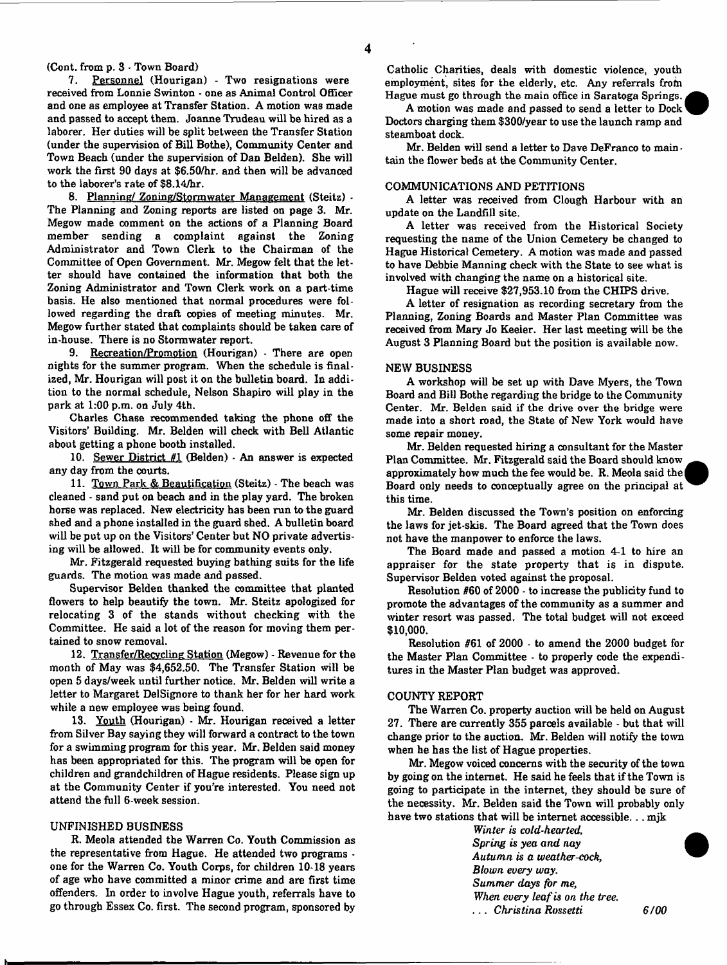# (Cont. from p. 3 - Town Board)<br>7. Personnel (Houriga)

Personnel (Hourigan) - Two resignations were received from Lonnie Swinton - one as Animal Control Officer and one as employee at Transfer Station. A motion was made and passed to accept them. Joanne Trudeau will be hired as a laborer. Her duties will be split between the Transfer Station (under the supervision of Bill Bothe), Community Center and Town Beach (under the supervision of Dan Belden). She will work the first 90 days at \$6.50/hr. and then will be advanced to the laborer's rate of \$8.14/hr.

8. Planning/ Zoning/Storm water Management (Steitz) - The Planning and Zoning reports are listed on page 3. Mr. Megow made comment on the actions of a Planning Board member sending a complaint against the Zoning Administrator and Town Clerk to the Chairman of the Committee of Open Government. Mr. Megow felt that the letter should have contained the information that both the Zoning Administrator and Town Clerk work on a part-time basis. He also mentioned that normal procedures were followed regarding the draft oopies of meeting minutes. Mr. Megow further stated that complaints should be taken care of in-house. There is no Storm water report.

9. Recreation/Promotion (Hourigan) - There are open nights for the summer program. When the schedule is finalized, Mr. Hourigan will post it on the bulletin board. In addition to the normal schedule, Nelson Shapiro will play in the park at 1:00 p.m. on July 4th.

Charles Chase recommended taking the phone off the Visitors' Building. Mr. Belden will check with Bell Atlantic about getting a phone booth installed.

10. Sewer District  $#1$  (Belden) - An answer is expected any day from the courts.

11. Town Park & Beautification (Steitz) - The beach was cleaned - sand put on beach and in the play yard. The broken horse was replaced. New electricity has been run to the guard shed and a phone installed in the guard shed. A bulletin board will be put up on the Visitors' Center but NO private advertising will be allowed. It will be for community events only.

Mr. Fitzgerald requested buying bathing suits for the life guards. The motion was made and passed.

Supervisor Belden thanked the committee that planted flowers to help beautify the town. Mr. Steitz apologized for relocating 3 of the stands without checking with the Committee. He said a lot of the reason for moving them pertained to snow removal.

12. Transfer/Recycling Station (Megow) - Revenue for the month of May was \$4,652.50. The Transfer Station will be open 5 days/week until further notice. Mr. Belden will write a letter to Margaret DelSignore to thank her for her hard work while a new employee was being found.

13. Youth (Hourigan) - Mr. Hourigan received a letter from Silver Bay saying they will forward a contract to the town for a swimming program for this year. Mr. Belden said money has been appropriated for this. The program will be open for children and grandchildren of Hague residents. Please sign up at the Community Center if you're interested. You need not attend the full 6-week session.

#### UNFINISHED BUSINESS

R. Meola attended the Warren Co. Youth Commission as the representative from Hague. He attended two programs one for the Warren Co. Youth Corps, for children 10-18 years of age who have committed a minor crime and are first time offenders. In order to involve Hague youth, referrals have to go through Essex Co. first. The second program, sponsored by

Catholic Charities, deals with domestic violence, youth employment, sites for the elderly, etc. Any referrals from Hague must go through the main office in Saratoga Springs.

A motion was made and passed to send a letter to Dock Doctors charging them \$300/year to use the launch ramp and steamboat dock.

Mr. Belden will send a letter to Dave DeFranco to maintain the flower beds at the Community Center.

#### COMMUNICATIONS AND PETITIONS

A letter was received from Clough Harbour with an update on the Landfill site.

A letter was received from the Historical Society requesting the name of the Union Cemetery be changed to Hague Historical Cemetery. A motion was made and passed to have Debbie Manning check with the State to see what is involved with changing the name on a historical site.

Hague will receive \$27,953.10 from the CHIPS drive.

A letter of resignation as recording secretary from the Planning, Zoning Boards and Master Plan Committee was received from Mary Jo Keeler. Her last meeting will be the August 3 Planning Board but the position is available now.

#### NEW BUSINESS

A workshop will be set up with Dave Myers, the Town Board and Bill Bothe regarding the bridge to the Community Center. Mr. Belden said if the drive over the bridge were made into a short road, the State of New York would have some repair money.

Mr. Belden requested hiring a consultant for the Master Plan Committee. Mr. Fitzgerald said the Board should know approximately how much the fee would be. R. Meola said thej Board only needs to conceptually agree on the principal at this time.

Mr. Belden discussed the Town's position on enforcing the laws for jet-skis. The Board agreed that the Town does not have the manpower to enforce the laws.

The Board made and passed a motion 4-1 to hire an appraiser for the state property that is in dispute. Supervisor Belden voted against the proposal.

Resolution #60 of 2000 - to increase the publicity fund to promote the advantages of the community as a summer and winter resort was passed. The total budget will not exoeed **\$10,000.**

Resolution #61 of 2000 • to amend the 2000 budget for the Master Plan Committee - to properly code the expenditures in the Master Plan budget was approved.

#### COUNTY REPORT

The Warren Co. property auction will be held on August 27. There are currently 355 parcels available - but that will change prior to the auction. Mr. Belden will notify the town when he has the list of Hague properties.

Mr. Megow voiced concerns with the security of the town by going on the internet. He said he feels that if the Town is going to participate in the internet, they should be sure of the necessity. Mr. Belden said the Town will probably only have two stations that will be internet accessible... mjk

> *Winter is cold-hearted. Spring is yea and nay Autumn is a weather-cock, Blown every way*. *Summer days for me, When every leaf is on the tree.* . . . *Christina Rossetti 6/00*

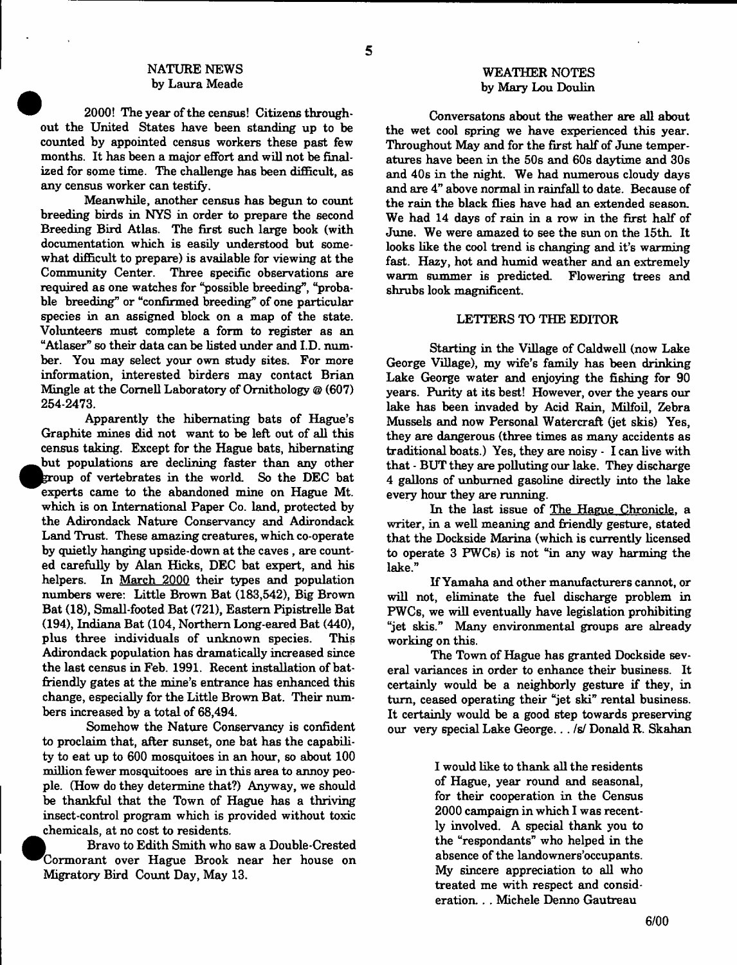## NATURE NEWS by Laura Meade

2000! The year of the census! Citizens throughout the United States have been standing up to be counted by appointed census workers these past few months. It has been a major effort and will not be finalized for some time. The challenge has been difficult, as any census worker can testify.

Meanwhile, another census has begun to count breeding birds in NYS in order to prepare the second Breeding Bird Atlas. The first such large book (with documentation which is easily understood but somewhat difficult to prepare) is available for viewing at the Community Center. Three specific observations are required as one watches for "possible breeding", "probable breeding" or "confirmed breeding" of one particular species in an assigned block on a map of the state. Volunteers must complete a form to register as an "Atlaser" so their data can be listed under and I.D. number. You may select your own study sites. For more information, interested birders may contact Brian Mingle at the Cornell Laboratory of Ornithology @ (607) 254-2473.

Apparently the hibernating bats of Hague's Graphite mines did not want to be left out of all this census taking. Except for the Hague bats, hibernating  $\bullet$ but populations are declining faster than any other group of vertebrates in the world. So the DEC bat experts came to the abandoned mine on Hague Mt. which is on International Paper Co. land, protected by the Adirondack Nature Conservancy and Adirondack Land Trust. These amazing creatures, which co-operate by quietly hanging upside-down at the caves , are counted carefully by Alan Hicks, DEC bat expert, and his helpers. In March 2000 their types and population numbers were: Little Brown Bat (183,542), Big Brown Bat (18), Small-footed Bat (721), Eastern Pipistrelle Bat (194), Indiana Bat (104, Northern Long-eared Bat (440), plus three individuals of unknown species. This Adirondack population has dramatically increased since the last census in Feb. 1991. Recent installation of batfriendly gates at the mine's entrance has enhanced this change, especially for the Little Brown Bat. Their numbers increased by a total of 68,494.

Somehow the Nature Conservancy is confident to proclaim that, after sunset, one bat has the capability to eat up to 600 mosquitoes in an hour, so about 100 million fewer mosquitooes are in this area to annoy people. (How do they determine that?) Anyway, we should be thankful that the Town of Hague has a thriving insect-control program which is provided without toxic chemicals, at no cost to residents.

Bravo to Edith Smith who saw a Double-Crested ^^C orm orant over Hague Brook near her house on Migratory Bird Count Day, May 13.

## WEATHER NOTES by Mary Lou Doulin

Conversatons about the weather are all about the wet cool spring we have experienced this year. Throughout May and for the first half of June temperatures have been in the 50s and 60s daytime and 30s and 40s in the night. We had numerous cloudy days and are 4" above normal in rainfall to date. Because of the rain the black flies have had an extended season. We had 14 days of rain in a row in the first half of June. We were amazed to see the sun on the 15th. It looks like the cool trend is changing and it's warming fast. Hazy, hot and humid weather and an extremely warm summer is predicted. Flowering trees and shrubs look magnificent.

#### LETTERS TO THE EDITOR

Starting in the Village of Caldwell (now Lake George Village), my wife's family has been drinking Lake George water and enjoying the fishing for 90 years. Purity at its best! However, over the years our lake has been invaded by Acid Rain, Milfoil, Zebra Mussels and now Personal Watercraft (jet skis) Yes, they are dangerous (three times as many accidents as traditional boats.) Yes, they are noisy - I can live with that - BUT they are polluting our lake. They discharge 4 gallons of unbumed gasoline directly into the lake every hour they are running.

In the last issue of The Hague Chronicle, a writer, in a well meaning and friendly gesture, stated that the Dockside Marina (which is currently licensed to operate 3 FWCs) is not "in any way harming the lake."

If Yamaha and other manufacturers cannot, or will not, eliminate the fuel discharge problem in PWCs, we will eventually have legislation prohibiting "jet skis." Many environmental groups are already working on this.

The Town of Hague has granted Dockside several variances in order to enhance their business. It certainly would be a neighborly gesture if they, in turn, ceased operating their "jet ski" rental business. It certainly would be a good step towards preserving our very special Lake George.. . /s/ Donald R. Skahan

> I would like to thank all the residents of Hague, year round and seasonal, for their cooperation in the Census 2000 campaign in which I was recently involved. A special thank you to the "respondants" who helped in the absence of the landowners'occupants. My sincere appreciation to all who treated me with respect and consideration. . . Michele Denno Gautreau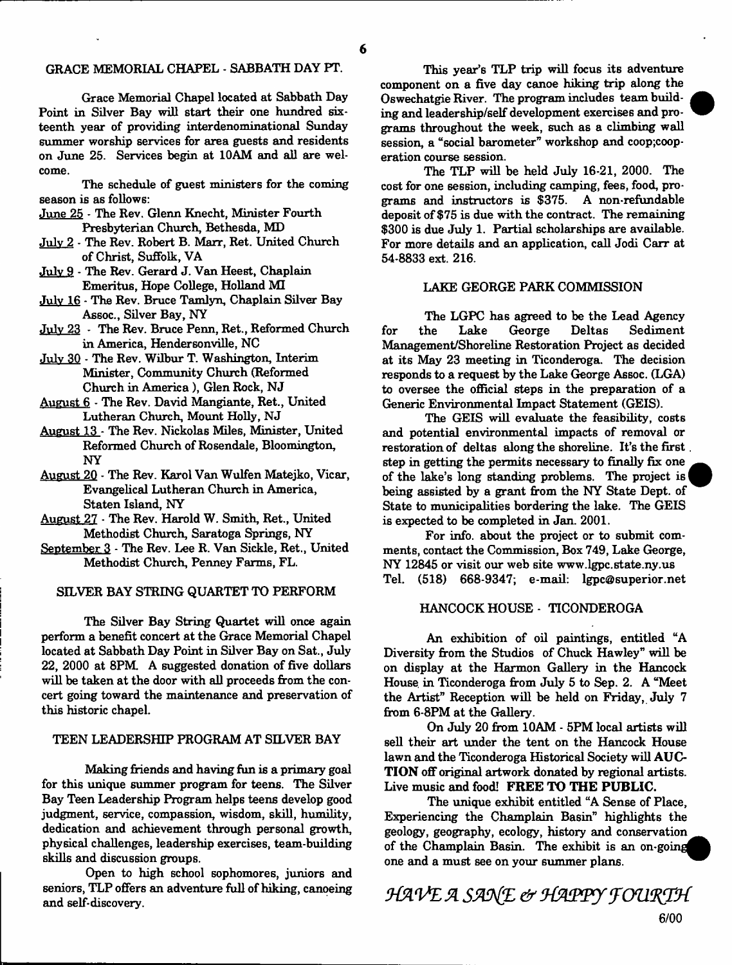#### GRACE MEMORIAL CHAPEL - SABBATH DAY PT.

Grace Memorial Chapel located at Sabbath Day Point in Silver Bay will start their one hundred sixteenth year of providing interdenominational Sunday summer worship services for area guests and residents on June 25. Services begin at 10AM and all are welcome.

The schedule of guest ministers for the coming season is as follows:

- June 25 The Rev. Glenn Knecht, Minister Fourth Presbyterian Church, Bethesda, MD
- July 2 The Rev. Robert B. Marr, Ret. United Church of Christ, Suffolk, VA

July 9 - The Rev. Gerard J. Van Heest, Chaplain Emeritus, Hope College, Holland MI

July 16 - The Rev. Bruce Tamlyn, Chaplain Silver Bay Assoc., Silver Bay, NY

July 23 - The Rev. Bruce Penn, Ret., Reformed Church in America, Hendersonville, NC

July 30 - The Rev. Wilbur T. Washington, Interim Minister, Community Church (Reformed Church in America), Glen Rock, NJ

- August 6 The Rev. David Mangiante, Ret., United Lutheran Church, Mount Holly, NJ
- August 13 The Rev. Nickolas Miles, Minister, United Reformed Church of Rosendale, Bloomington, NY
- August 20 The Rev. Karol Van Wulfen Matejko, Vicar, Evangelical Lutheran Church in America, Staten Island, NY
- August 27 The Rev. Harold W. Smith, Ret., United Methodist Church, Saratoga Springs, NY
- September 3 The Rev. Lee R. Van Sickle, Ret., United Methodist Church, Penney Farms, FL.

#### SILVER BAY STRING QUARTET TO PERFORM

The Silver Bay String Quartet will once again perform a benefit concert at the Grace Memorial Chapel located at Sabbath Day Point in Silver Bay on Sat., July 22, 2000 at 8PM A suggested donation of five dollars will be taken at the door with all proceeds from the concert going toward the maintenance and preservation of this historic chapel.

#### TEEN LEADERSHIP PROGRAM AT SILVER BAY

Making friends and having fun is a primary goal for this unique summer program for teens. The Silver Bay Teen Leadership Program helps teens develop good judgment, service, compassion, wisdom, skill, humility, dedication and achievement through personal growth, physical challenges, leadership exercises, team-building skills and discussion groups.

Open to high school sophomores, juniors and seniors, TLP offers an adventure full of hiking, canoeing and self-discovery.

This year's TLP trip will focus its adventure component on a five day canoe hiking trip along the Oswechatgie River. The program includes team building and leadership/self development exercises and programs throughout the week, such as a climbing wall session, a "social barometer" workshop and coop;cooperation course session.

The TLP will be held July 16-21, 2000. The cost for one session, including camping, fees, food, programs and instructors is \$375. A non-refundable deposit of \$75 is due with the contract. The remaining \$300 is due July 1. Partial scholarships are available. For more details and an application, call Jodi Carr at 54-8833 ext. 216.

## LAKE GEORGE PARK COMMISSION

The LGPC has agreed to be the Lead Agency for the Lake George Deltas Sediment Management/Shoreline Restoration Project as decided at its May 23 meeting in Ticonderoga. The decision responds to a request by the Lake George Assoc. (LGA) to oversee the official steps in the preparation of a Generic Environmental Impact Statement (GEIS).

The GEIS will evaluate the feasibility, costs and potential environmental impacts of removal or restoration of deltas along the shoreline. It's the first step in getting the permits necessary to finally fix one of the lake's long standing problems. The project is 1 being assisted by a grant from the NY State Dept, of State to municipalities bordering the lake. The GEIS is expected to be completed in Jan. 2001.

For info, about the project or to submit comments, contact the Commission, Box 749, Lake George, NY 12845 or visit our web site [www.lgpc.state.ny.us](http://www.lgpc.state.ny.us)  Tel. (518) 668-9347; e-mail: [lgpc@superior.net](mailto:lgpc@superior.net)

#### HANCOCK HOUSE - TICONDEROGA

An exhibition of oil paintings, entitled "A Diversity from the Studios of Chuck Hawley" will be on display at the Harmon Gallery in the Hancock House, in Ticonderoga from July 5 to Sep. 2. A "Meet the Artist" Reception will be held on Friday, July 7 from 6-8PM at the Gallery.

On July 20 from 10AM - 5PM local artists will sell their art under the tent on the Hancock House lawn and the Ticonderoga Historical Society will AUC-TION off original artwork donated by regional artists. Live music and food! FREE TO THE PUBLIC.

The unique exhibit entitled "A Sense of Place, Experiencing the Champlain Basin" highlights the geology, geography, ecology, history and conservation \_ of the Champlain Basin. The exhibit is an on-going one and a must see on your summer plans.

*HAVE A SANE & HAPPY FOURTH*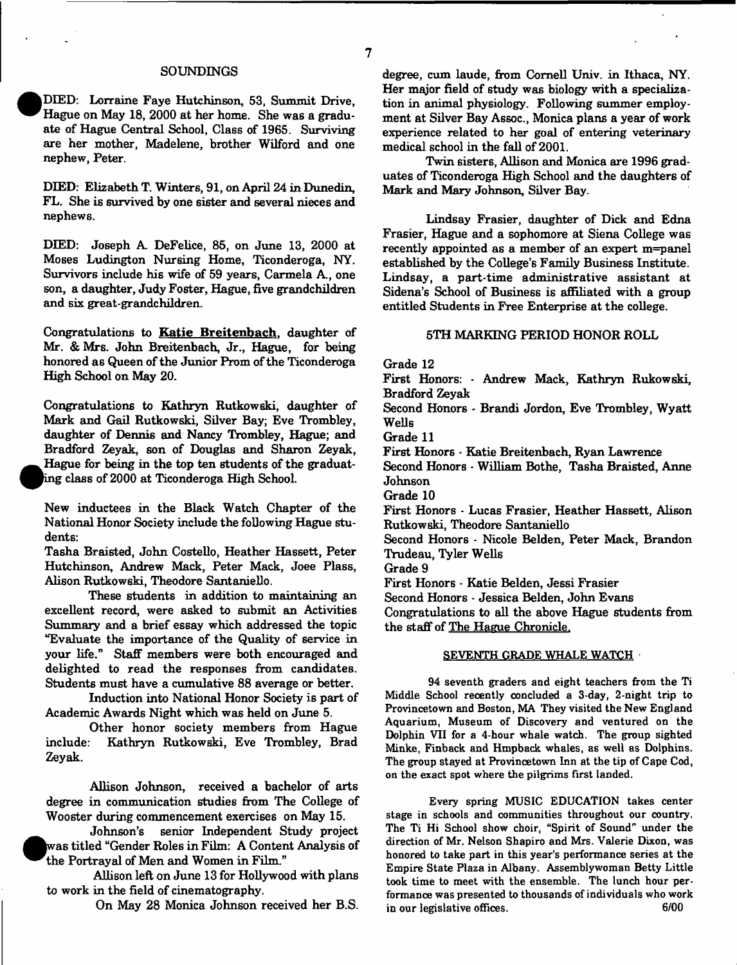#### SOUNDINGS

DIED: Lorraine Faye Hutchinson, 53, Summit Drive, Hague on May 18, 2000 at her home. She was a graduate of Hague Central School, Class of 1965. Surviving are her mother, Madelene, brother Wilford and one nephew, Peter.

DIED: Elizabeth T. Winters, 91, on April 24 in Dunedin, FL. She is survived by one sister and several nieces and nephews.

DIED: Joseph A. DeFelice, 85, on June 13, 2000 at Moses Ludington Nursing Home, Ticonderoga, NY. Survivors include his wife of 59 years, Carmela A., one son, a daughter, Judy Foster, Hague, five grandchildren and six great-grandchildren.

Congratulations to Katie Breitenbach, daughter of Mr. & Mrs. John Breitenbach, Jr., Hague, for being honored as Queen of the Junior Prom of the Ticonderoga High School on May 20.

Congratulations to Kathryn Rutkowski, daughter of Mark and Gail Rutkowski, Silver Bay; Eve Trombley, daughter of Dennis and Nancy Trombley, Hague; and Bradford Zeyak, son of Douglas and Sharon Zeyak, Hague for being in the top ten students of the graduating class of 2000 at Ticonderoga High School.

New inductees in the Black Watch Chapter of the National Honor Society include the following Hague students:

Tasha Braisted, John Costello, Heather Hassett, Peter Hutchinson, Andrew Mack, Peter Mack, Joee Plass, Alison Rutkowski, Theodore Santaniello.

These students in addition to maintaining an excellent record, were asked to submit an Activities Summary and a brief essay which addressed the topic "Evaluate the importance of the Quality of service in your life." Staff members were both encouraged and delighted to read the responses from candidates. Students must have a cumulative 88 average or better.

Induction into National Honor Society is part of Academic Awards Night which was held on June 5.

Other honor society members from Hague include: Kathryn Rutkowski, Eve Trombley, Brad Zeyak.

Allison Johnson, received a bachelor of arts degree in communication studies from The College of Wooster during commencement exercises on May 15.

Johnson's senior Independent Study project was titled "Gender Roles in Film: A Content Analysis of the Portrayal of Men and Women in Film."

Allison left on June 13 for Hollywood with plans to work in the field of cinematography.

On May 28 Monica Johnson received her B.S.

degree, cum laude, from Cornell Univ. in Ithaca, NY. Her major field of study was biology with a specialization in animal physiology. Following summer employment at Silver Bay Assoc., Monica plans a year of work experience related to her goal of entering veterinary medical school in the fall of 2001.

Twin sisters, Allison and Monica are 1996 graduates of Ticonderoga High School and the daughters of Mark and Mary Johnson, Silver Bay.

Lindsay Frasier, daughter of Dick and Edna Frasier, Hague and a sophomore at Siena College was recently appointed as a member of an expert m=panel established by the College's Family Business Institute. Lindsay, a part-time administrative assistant at Sidena's School of Business is affiliated with a group entitled Students in Free Enterprise at the college.

#### 5TH MARKING PERIOD HONOR ROLL

Grade 12

First Honors: - Andrew Mack, Kathryn Rukowski, Bradford Zeyak

Second Honors - Brandi Jordon, Eve Trombley, Wyatt Wells

Grade 11

First Honors - Katie Breitenbach, Ryan Lawrence

Second Honors - William Bothe, Tasha Braisted, Anne Johnson

Grade 10

First Honors - Lucas Frasier, Heather Hassett, Alison Rutkowski, Theodore Santaniello

Second Honors - Nicole Belden, Peter Mack, Brandon Trudeau, Tyler Wells

Grade 9

First Honors - Katie Belden, Jessi Frasier

Second Honors - Jessica Belden, John Evans

Congratulations to all the above Hague students from the staff of The Hague Chronicle.

#### SEVENTH GRADE WHALE WATCH

94 seventh graders and eight teachers from the Ti Middle School recently concluded a 3-day, 2-night trip to Provincetown and Boston, MA They visited the New England Aquarium, Museum of Discovery and ventured on the Dolphin VII for a 4-hour whale watch. The group sighted Minke, Finback and Hmpback whales, as well as Dolphins. The group stayed at Provincetown Inn at the tip of Cape Cod, on the exact spot where the pilgrims first landed.

Every spring MUSIC EDUCATION takes center stage in schools and communities throughout our country. The Ti Hi School show choir, "Spirit of Sound" under the direction of Mr. Nelson Shapiro and Mrs. Valerie Dixon, was honored to take part in this year's performance series at the Empire State Plaza in Albany. Assemblywoman Betty Little took time to meet with the ensemble. The lunch hour performance was presented to thousands of individuals who work in our legislative offices. 6/00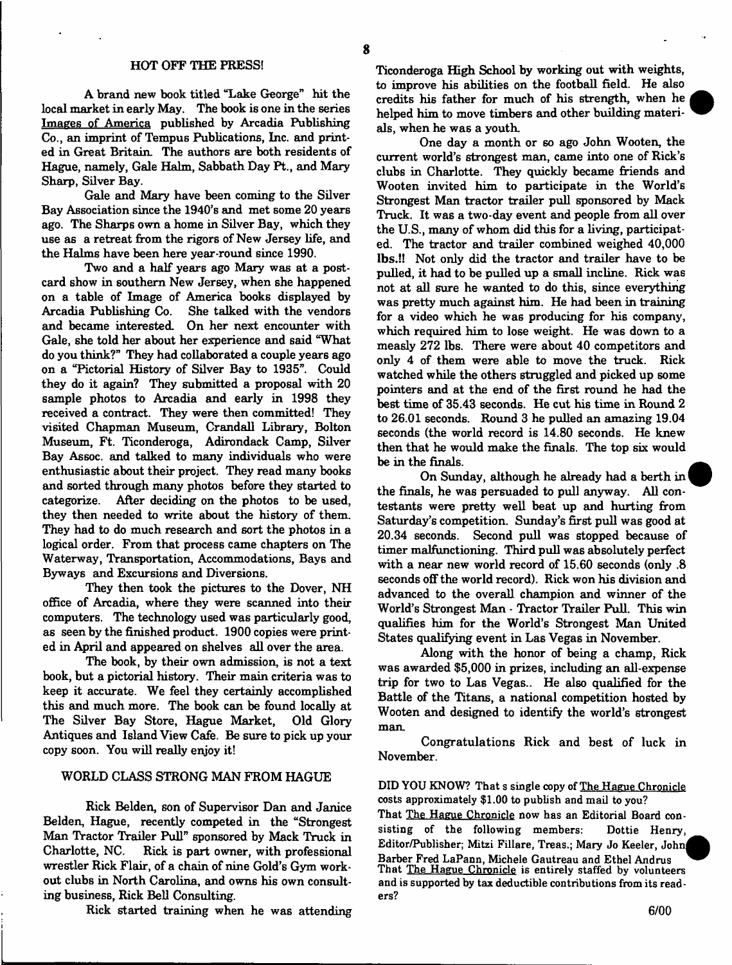#### HOT OFF THE PRESS!

A brand new book titled "Lake George" hit the local market in early May. The book is one in the series Images of America published by Arcadia Publishing Co., an imprint of Tempus Publications, Inc. and printed in Great Britain. The authors are both residents of Hague, namely, Gale Halm, Sabbath Day Pt., and Mary Sharp, Silver Bay.

Gale and Mary have been coming to the Silver Bay Association since the 1940's and met some 20 years ago. The Sharps own a home in Silver Bay, which they use as a retreat from the rigors of New Jersey life, and the Halms have been here year-round since 1990.

Two and a half years ago Mary was at a postcard show in southern New Jersey, when she happened on a table of Image of America books displayed by Arcadia Publishing Co. She talked with the vendors and became interested. On her next encounter with Gale, she told her about her experience and said "What do you think?" They had collaborated a couple years ago on a "Pictorial History of Silver Bay to 1935". Could they do it again? They submitted a proposal with 20 sample photos to Arcadia and early in 1998 they received a contract. They were then committed! They visited Chapman Museum, Crandall Library, Bolton Museum, Ft. Ticonderoga, Adirondack Camp, Silver Bay Assoc, and talked to many individuals who were enthusiastic about their project. They read many books and sorted through many photos before they started to categorize. After deciding on the photos to be used, they then needed to write about the history of them. They had to do much research and sort the photos in a logical order. From that process came chapters on The Waterway, Transportation, Accommodations, Bays and Byways and Excursions and Diversions.

They then took the pictures to the Dover, NH office of Arcadia, where they were scanned into their computers. The technology used was particularly good, as seen by the finished product. 1900 copies were printed in April and appeared on shelves all over the area.

The book, by their own admission, is not a text book, but a pictorial history. Their main criteria was to keep it accurate. We feel they certainly accomplished this and much more. The book can be found locally at The Silver Bay Store, Hague Market, Old Glory Antiques and Island View Cafe. Be sure to pick up your copy soon. You will really enjoy it!

## WORLD CLASS STRONG MAN FROM HAGUE

Rick Belden, son of Supervisor Dan and Janice Belden, Hague, recently competed in the "Strongest Man Tractor Trailer Pull" sponsored by Mack Truck in Charlotte, NC. Rick is part owner, with professional wrestler Rick Flair, of a chain of nine Gold's Gym workout clubs in North Carolina, and owns his own consulting business, Rick Bell Consulting.

Rick started training when he was attending

Ticonderoga High School by working out with weights, to improve his abilities on the football field. He also credits his father for much of his strength, when he helped him to move timbers and other building materials, when he was a youth.

One day a month or so ago John Wooten, the current world's strongest man, came into one of Rick's clubs in Charlotte. They quickly became friends and Wooten invited him to participate in the World's Strongest Man tractor trailer pull sponsored by Mack Truck. It was a two-day event and people from all over the U.S., many of whom did this for a living, participated. The tractor and trailer combined weighed 40,000 lbs.!! Not only did the tractor and trailer have to be pulled, it had to be pulled up a small incline. Rick was not at all sure he wanted to do this, since everything was pretty much against him. He had been in training for a video which he was producing for his company, which required him to lose weight. He was down to a measly 272 lbs. There were about 40 competitors and only 4 of them were able to move the truck. Rick watched while the others struggled and picked up some pointers and at the end of the first round he had the best time of 35.43 seconds. He cut his time in Round 2 to 26.01 seconds. Round 3 he pulled an amazing 19.04 seconds (the world record is 14.80 seconds. He knew then that he would make the finals. The top six would be in the finals.

On Sunday, although he already had a berth in! the finals, he was persuaded to pull anyway. All contestants were pretty well beat up and hurting from Saturday's competition. Sunday's first pull was good at 20.34 seconds. Second pull was stopped because of timer malfunctioning. Third pull was absolutely perfect with a near new world record of 15.60 seconds (only .8 seconds off the world record). Rick won his division and advanced to the overall champion and winner of the World's Strongest Man - Tractor Trailer Pull. This win qualifies him for the World's Strongest Man United States qualifying event in Las Vegas in November.

Along with the honor of being a champ, Rick was awarded \$5,000 in prizes, including an all-expense trip for two to Las Vegas.. He also qualified for the Battle of the Titans, a national competition hosted by Wooten and designed to identify the world's strongest man.

Congratulations Rick and best of luck in November.

DID YOU KNOW? That s single copy of The Hague Chronicle costs approximately \$1.00 to publish and mail to you?

That The Hague Chronicle now has an Editorial Board consisting of the following members: Dottie Henry, Editor/Publisher; Mitzi Fillare, Treas.; Mary Jo Keeler, Johnj Barber Fred LaPann, Michele Gautreau and Ethel Andrus That The Hague Chronicle is entirely staffed by volunteers and is supported by tax deductible contributions from its readers?

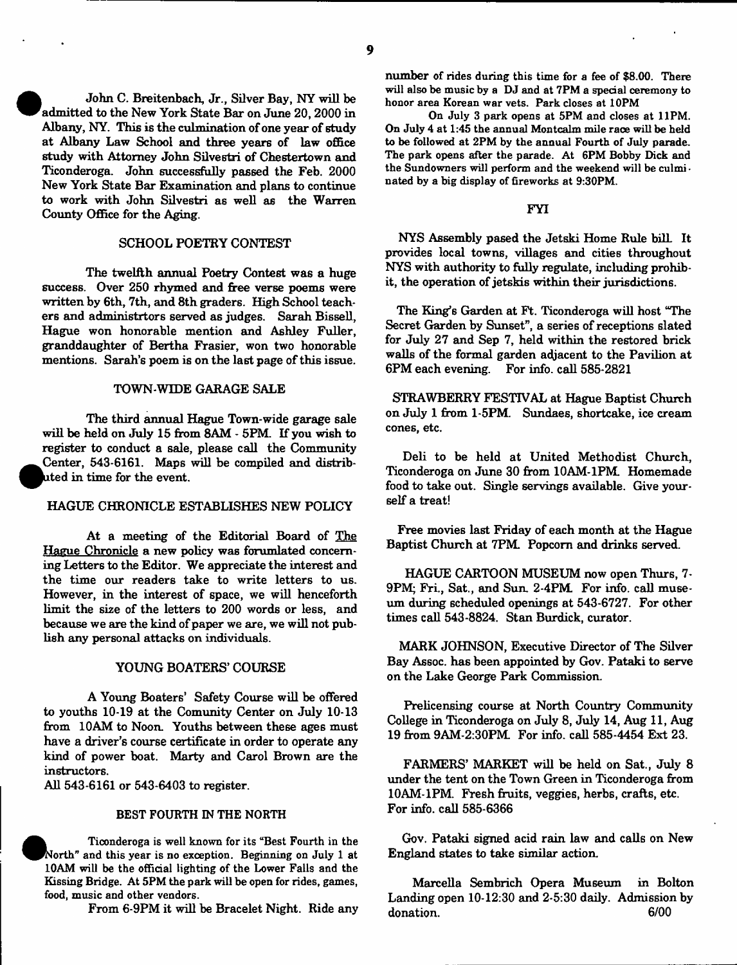• John C. Breitenbach, Jr., Silver Bay, NY will be admitted to the New York State Bar on June 20, 2000 in Albany, NY. This is the culmination of one year of study at Albany Law School and three years of law office study with Attorney John Silvestri of Chestertown and Ticonderoga. John successfully passed the Feb. 2000 New York State Bar Examination and plans to continue to work with John Silvestri as well as the Warren County Office for the Aging.

#### SCHOOL POETRY CONTEST

The twelfth annual Poetry Contest was a huge success. Over 250 rhymed and free verse poems were written by 6th, 7th, and 8th graders. High School teachers and administrtors served as judges. Sarah Bissell, Hague won honorable mention and Ashley Fuller, granddaughter of Bertha Frasier, won two honorable mentions. Sarah's poem is on the last page of this issue.

#### TOWN-WIDE GARAGE SALE

The third annual Hague Town-wide garage sale will be held on July 15 from 8AM - 5PM. If you wish to register to conduct a sale, please call the Community  $\bullet$ Center, 543-6161. Maps will be compiled and distributed in time for the event.

# HAGUE CHRONICLE ESTABLISHES NEW POLICY

At a meeting of the Editorial Board of The Hague Chronicle a new policy was forumlated concerning Letters to the Editor. We appreciate the interest and the time our readers take to write letters to us. However, in the interest of space, we will henceforth limit the size of the letters to 200 words or less, and because we are the kind of paper we are, we will not pubbecause we are the kind of paper we are, we will not pub-<br>lish any norounal attacks on individuals lish any personal attacks on individuals.

#### YOUNG BOATERS' COURSE

A Young Boaters' Safety Course will be offered from 10AM to Noon. Youths between these ages must have a driver's course certificate in order to operate any have a driver's course certificate in order to operate any kind of power boat. Marty and Carol Brown are the 1180 00018.<br>All 549 C10

All 543-6161 or 543-6403 to register.

#### BEST FOURTH IN THE NORTH

Ticonderoga is well known for its "Best Fourth in the<br>North" and this year is no exception. Beginning on July 1 at 10AM will be the official lighting of the Lower Falls and the 10AM will be the official lighting of the Lower Falls and the  $k$ <sup>223</sup> $\frac{1}{2}$   $\frac{1}{2}$   $\frac{1}{2}$   $\frac{1}{2}$   $\frac{1}{2}$   $\frac{1}{2}$   $\frac{1}{2}$   $\frac{1}{2}$   $\frac{1}{2}$   $\frac{1}{2}$   $\frac{1}{2}$   $\frac{1}{2}$   $\frac{1}{2}$   $\frac{1}{2}$   $\frac{1}{2}$   $\frac{1}{2}$   $\frac{1}{2}$   $\frac{1}{2}$   $\frac{1}{2}$   $\frac{1}{2}$   $\frac{1}{2}$   $\frac$ food, music and other vendors.

From 6-9PM it will be Bracelet Night. Ride any

number of rides during this time for a fee of \$8.00. There will also be music by a DJ and at 7PM a special ceremony to honor area Korean war vets. Park closes at 10PM

On July 3 park opens at 5PM and closes at 11PM. On July 4 at 1:45 the annual Montcalm mile race will be held to be followed at 2PM by the annual Fourth of July parade. The park opens after the parade. At 6PM Bobby Dick and the Sundowners will perform and the weekend will be culmi nated by a big display of fireworks at 9:30PM.

#### FYI

NYS Assembly pased the Jetski Home Rule bill It provides local towns, villages and cities throughout NYS with authority to fully regulate, including prohibit, the operation of jetskis within their jurisdictions.

The King's Garden at Ft. Ticonderoga will host "The Secret Garden by Sunset", a series of receptions slated for July 27 and Sep 7, held within the restored brick walls of the formal garden adjacent to the Pavilion at 6PM each evening. For info, call 585-2821

STRAWBERRY FESTIVAL at Hague Baptist Church on July 1 from 1-5PM. Sundaes, shortcake, ice cream cones, etc.

Deli to be held at United Methodist Church, Ticonderoga on June 30 from 10AM-1PM. Homemade food to take out. Single servings available. Give yourself a treat!

Free movies last Friday of each month at the Hague Baptist Church at 7PM. Popcorn and drinks served.

HAGUE CARTOON MUSEUM now open Thurs, 7-9PM; Fri., Sat., and Sun. 2-4PM For info, call museum during scheduled openings at 543-6727. For other times call 543-8824. Stan Burdick, curator.

MARK JOHNSON, Executive Director of The Silver Bay Assoc, has been appointed by Gov. Pataki to serve on the Lake George Park Commission.

Prelicensing course at North Country Community College in Ticonderoga on July 8, July 14, Aug 11, Aug 19 from 9AM-2:30PM. For info, call 585-4454 Ext 23.

FARMERS' MARKET will be held on Sat., July 8 under the tent on the Town Green in Ticonderoga from 10AM-1PM. Fresh fruits, veggies, herbs, crafts, etc. For info, call 585-6366

Gov. Pataki signed acid rain law and calls on New England states to take similar action.

Marcella Sembrich Opera Museum in Bolton Landing open 10-12:30 and 2-5:30 daily. Admission by donation. 6/00